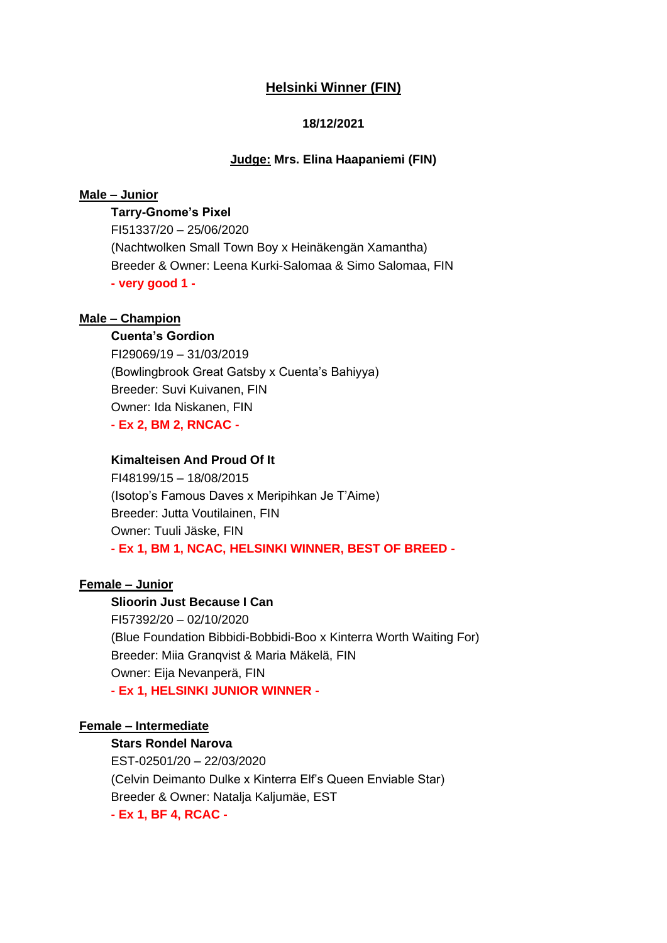# **Helsinki Winner (FIN)**

# **18/12/2021**

### **Judge: Mrs. Elina Haapaniemi (FIN)**

# **Male – Junior**

**Tarry-Gnome's Pixel** FI51337/20 – 25/06/2020 (Nachtwolken Small Town Boy x Heinäkengän Xamantha) Breeder & Owner: Leena Kurki-Salomaa & Simo Salomaa, FIN **- very good 1 -**

#### **Male – Champion**

# **Cuenta's Gordion**

FI29069/19 – 31/03/2019 (Bowlingbrook Great Gatsby x Cuenta's Bahiyya) Breeder: Suvi Kuivanen, FIN Owner: Ida Niskanen, FIN **- Ex 2, BM 2, RNCAC -**

# **Kimalteisen And Proud Of It**

FI48199/15 – 18/08/2015 (Isotop's Famous Daves x Meripihkan Je T'Aime) Breeder: Jutta Voutilainen, FIN Owner: Tuuli Jäske, FIN **- Ex 1, BM 1, NCAC, HELSINKI WINNER, BEST OF BREED -**

# **Female – Junior**

### **Slioorin Just Because I Can**

FI57392/20 – 02/10/2020 (Blue Foundation Bibbidi-Bobbidi-Boo x Kinterra Worth Waiting For) Breeder: Miia Granqvist & Maria Mäkelä, FIN Owner: Eija Nevanperä, FIN **- Ex 1, HELSINKI JUNIOR WINNER -**

#### **Female – Intermediate**

# **Stars Rondel Narova**

EST-02501/20 – 22/03/2020 (Celvin Deimanto Dulke x Kinterra Elf's Queen Enviable Star) Breeder & Owner: Natalja Kaljumäe, EST **- Ex 1, BF 4, RCAC -**